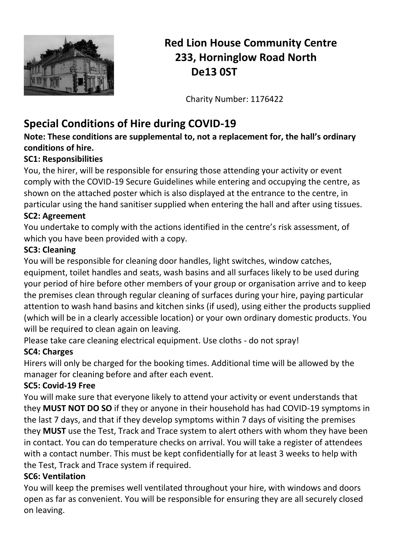

# **Red Lion House Community Centre 233, Horninglow Road North De13 0ST**

Charity Number: 1176422

# **Special Conditions of Hire during COVID-19**

**Note: These conditions are supplemental to, not a replacement for, the hall's ordinary conditions of hire.** 

## **SC1: Responsibilities**

You, the hirer, will be responsible for ensuring those attending your activity or event comply with the COVID-19 Secure Guidelines while entering and occupying the centre, as shown on the attached poster which is also displayed at the entrance to the centre, in particular using the hand sanitiser supplied when entering the hall and after using tissues.

### **SC2: Agreement**

You undertake to comply with the actions identified in the centre's risk assessment, of which you have been provided with a copy.

## **SC3: Cleaning**

You will be responsible for cleaning door handles, light switches, window catches, equipment, toilet handles and seats, wash basins and all surfaces likely to be used during your period of hire before other members of your group or organisation arrive and to keep the premises clean through regular cleaning of surfaces during your hire, paying particular attention to wash hand basins and kitchen sinks (if used), using either the products supplied (which will be in a clearly accessible location) or your own ordinary domestic products. You will be required to clean again on leaving.

Please take care cleaning electrical equipment. Use cloths - do not spray!

## **SC4: Charges**

Hirers will only be charged for the booking times. Additional time will be allowed by the manager for cleaning before and after each event.

## **SC5: Covid-19 Free**

You will make sure that everyone likely to attend your activity or event understands that they **MUST NOT DO SO** if they or anyone in their household has had COVID-19 symptoms in the last 7 days, and that if they develop symptoms within 7 days of visiting the premises they **MUST** use the Test, Track and Trace system to alert others with whom they have been in contact. You can do temperature checks on arrival. You will take a register of attendees with a contact number. This must be kept confidentially for at least 3 weeks to help with the Test, Track and Trace system if required.

### **SC6: Ventilation**

You will keep the premises well ventilated throughout your hire, with windows and doors open as far as convenient. You will be responsible for ensuring they are all securely closed on leaving.